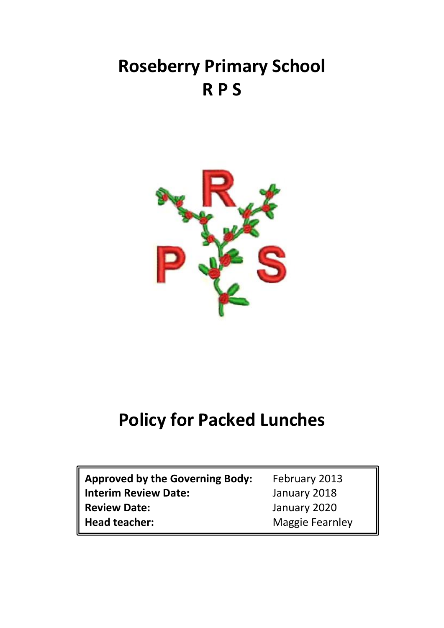# **Roseberry Primary School R P S**



## **Policy for Packed Lunches**

| <b>Approved by the Governing Body:</b>             | February 2013                |
|----------------------------------------------------|------------------------------|
| <b>Interim Review Date:</b><br><b>Review Date:</b> | January 2018<br>January 2020 |
| <b>Head teacher:</b>                               | <b>Maggie Fearnley</b>       |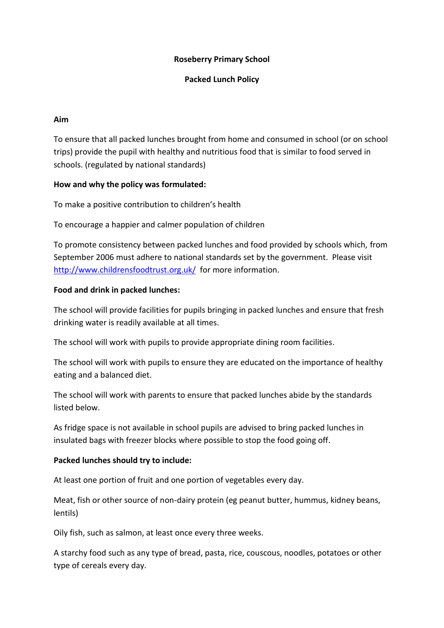## **Roseberry Primary School**

#### **Packed Lunch Policy**

#### **Aim**

To ensure that all packed lunches brought from home and consumed in school (or on school trips) provide the pupil with healthy and nutritious food that is similar to food served in schools. (regulated by national standards)

## **How and why the policy was formulated:**

To make a positive contribution to children's health

To encourage a happier and calmer population of children

To promote consistency between packed lunches and food provided by schools which, from September 2006 must adhere to national standards set by the government. Please visit <http://www.childrensfoodtrust.org.uk/> for more information.

## **Food and drink in packed lunches:**

The school will provide facilities for pupils bringing in packed lunches and ensure that fresh drinking water is readily available at all times.

The school will work with pupils to provide appropriate dining room facilities.

The school will work with pupils to ensure they are educated on the importance of healthy eating and a balanced diet.

The school will work with parents to ensure that packed lunches abide by the standards listed below.

As fridge space is not available in school pupils are advised to bring packed lunches in insulated bags with freezer blocks where possible to stop the food going off.

## **Packed lunches should try to include:**

At least one portion of fruit and one portion of vegetables every day.

Meat, fish or other source of non-dairy protein (eg peanut butter, hummus, kidney beans, lentils)

Oily fish, such as salmon, at least once every three weeks.

A starchy food such as any type of bread, pasta, rice, couscous, noodles, potatoes or other type of cereals every day.